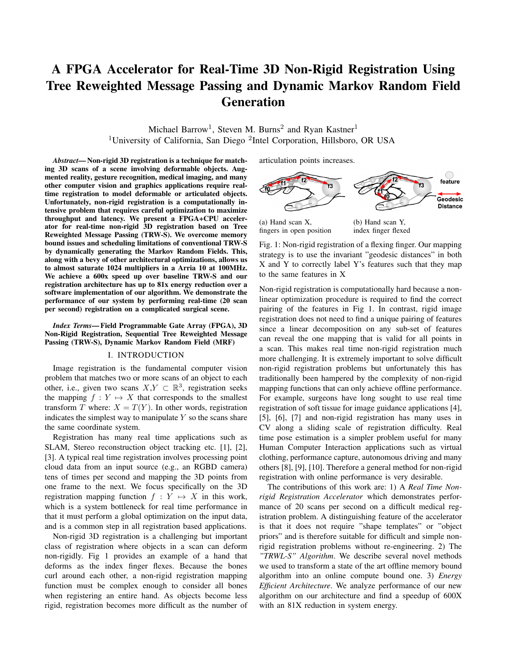# A FPGA Accelerator for Real-Time 3D Non-Rigid Registration Using Tree Reweighted Message Passing and Dynamic Markov Random Field Generation

Michael Barrow<sup>1</sup>, Steven M. Burns<sup>2</sup> and Ryan Kastner<sup>1</sup> <sup>1</sup>University of California, San Diego <sup>2</sup>Intel Corporation, Hillsboro, OR USA

*Abstract*— Non-rigid 3D registration is a technique for matching 3D scans of a scene involving deformable objects. Augmented reality, gesture recognition, medical imaging, and many other computer vision and graphics applications require realtime registration to model deformable or articulated objects. Unfortunately, non-rigid registration is a computationally intensive problem that requires careful optimization to maximize throughput and latency. We present a FPGA+CPU accelerator for real-time non-rigid 3D registration based on Tree Reweighted Message Passing (TRW-S). We overcome memory bound issues and scheduling limitations of conventional TRW-S by dynamically generating the Markov Random Fields. This, along with a bevy of other architectural optimizations, allows us to almost saturate 1024 multipliers in a Arria 10 at 100MHz. We achieve a 600x speed up over baseline TRW-S and our registration architecture has up to 81x energy reduction over a software implementation of our algorithm. We demonstrate the performance of our system by performing real-time (20 scan per second) registration on a complicated surgical scene.

*Index Terms*— Field Programmable Gate Array (FPGA), 3D Non-Rigid Registration, Sequential Tree Reweighted Message Passing (TRW-S), Dynamic Markov Random Field (MRF)

## I. INTRODUCTION

Image registration is the fundamental computer vision problem that matches two or more scans of an object to each other, i.e., given two scans  $X, Y \subset \mathbb{R}^3$ , registration seeks the mapping  $f : Y \mapsto X$  that corresponds to the smallest transform T where:  $X = T(Y)$ . In other words, registration indicates the simplest way to manipulate  $Y$  so the scans share the same coordinate system.

Registration has many real time applications such as SLAM, Stereo reconstruction object tracking etc. [1], [2], [3]. A typical real time registration involves processing point cloud data from an input source (e.g., an RGBD camera) tens of times per second and mapping the 3D points from one frame to the next. We focus specifically on the 3D registration mapping function  $f : Y \mapsto X$  in this work, which is a system bottleneck for real time performance in that it must perform a global optimization on the input data, and is a common step in all registration based applications.

Non-rigid 3D registration is a challenging but important class of registration where objects in a scan can deform non-rigidly. Fig 1 provides an example of a hand that deforms as the index finger flexes. Because the bones curl around each other, a non-rigid registration mapping function must be complex enough to consider all bones when registering an entire hand. As objects become less rigid, registration becomes more difficult as the number of articulation points increases.



fingers in open position

index finger flexed

Fig. 1: Non-rigid registration of a flexing finger. Our mapping strategy is to use the invariant "geodesic distances" in both X and Y to correctly label Y's features such that they map to the same features in X

Non-rigid registration is computationally hard because a nonlinear optimization procedure is required to find the correct pairing of the features in Fig 1. In contrast, rigid image registration does not need to find a unique pairing of features since a linear decomposition on any sub-set of features can reveal the one mapping that is valid for all points in a scan. This makes real time non-rigid registration much more challenging. It is extremely important to solve difficult non-rigid registration problems but unfortunately this has traditionally been hampered by the complexity of non-rigid mapping functions that can only achieve offline performance. For example, surgeons have long sought to use real time registration of soft tissue for image guidance applications [4], [5], [6], [7] and non-rigid registration has many uses in CV along a sliding scale of registration difficulty. Real time pose estimation is a simpler problem useful for many Human Computer Interaction applications such as virtual clothing, performance capture, autonomous driving and many others [8], [9], [10]. Therefore a general method for non-rigid registration with online performance is very desirable.

The contributions of this work are: 1) A *Real Time Nonrigid Registration Accelerator* which demonstrates performance of 20 scans per second on a difficult medical registration problem. A distinguishing feature of the accelerator is that it does not require "shape templates" or "object priors" and is therefore suitable for difficult and simple nonrigid registration problems without re-engineering. 2) The *"TRWL-S" Algorithm*. We describe several novel methods we used to transform a state of the art offline memory bound algorithm into an online compute bound one. 3) *Energy Efficient Architecture*. We analyze performance of our new algorithm on our architecture and find a speedup of 600X with an 81X reduction in system energy.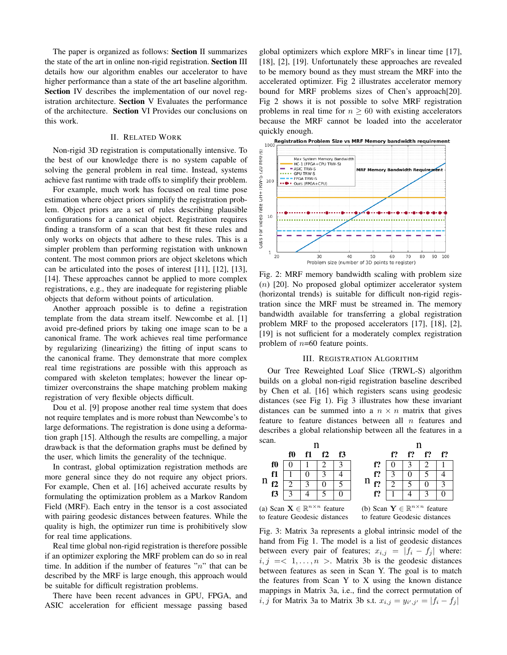The paper is organized as follows: Section II summarizes the state of the art in online non-rigid registration. Section III details how our algorithm enables our accelerator to have higher performance than a state of the art baseline algorithm. Section IV describes the implementation of our novel registration architecture. Section V Evaluates the performance of the architecture. Section VI Provides our conclusions on this work.

# II. RELATED WORK

Non-rigid 3D registration is computationally intensive. To the best of our knowledge there is no system capable of solving the general problem in real time. Instead, systems achieve fast runtime with trade offs to simplify their problem.

For example, much work has focused on real time pose estimation where object priors simplify the registration problem. Object priors are a set of rules describing plausible configurations for a canonical object. Registration requires finding a transform of a scan that best fit these rules and only works on objects that adhere to these rules. This is a simpler problem than performing registation with unknown content. The most common priors are object skeletons which can be articulated into the poses of interest [11], [12], [13], [14]. These approaches cannot be applied to more complex registrations, e.g., they are inadequate for registering pliable objects that deform without points of articulation.

Another approach possible is to define a registration template from the data stream itself. Newcombe et al. [1] avoid pre-defined priors by taking one image scan to be a canonical frame. The work achieves real time performance by regularizing (linearizing) the fitting of input scans to the canonical frame. They demonstrate that more complex real time registrations are possible with this approach as compared with skeleton templates; however the linear optimizer overconstrains the shape matching problem making registration of very flexible objects difficult.

Dou et al. [9] propose another real time system that does not require templates and is more robust than Newcombe's to large deformations. The registration is done using a deformation graph [15]. Although the results are compelling, a major drawback is that the deformation graphs must be defined by the user, which limits the generality of the technique.

In contrast, global optimization registration methods are more general since they do not require any object priors. For example, Chen et al. [16] acheived accurate results by formulating the optimization problem as a Markov Random Field (MRF). Each entry in the tensor is a cost associated with pairing geodesic distances between features. While the quality is high, the optimizer run time is prohibitively slow for real time applications.

Real time global non-rigid registration is therefore possible if an optimizer exploring the MRF problem can do so in real time. In addition if the number of features " $n$ " that can be described by the MRF is large enough, this approach would be suitable for difficult registration problems.

There have been recent advances in GPU, FPGA, and ASIC acceleration for efficient message passing based global optimizers which explore MRF's in linear time [17], [18], [2], [19]. Unfortunately these approaches are revealed to be memory bound as they must stream the MRF into the accelerated optimizer. Fig 2 illustrates accelerator memory bound for MRF problems sizes of Chen's approach[20]. Fig 2 shows it is not possible to solve MRF registration problems in real time for  $n \geq 60$  with existing accelerators because the MRF cannot be loaded into the accelerator



Fig. 2: MRF memory bandwidth scaling with problem size (n) [20]. No proposed global optimizer accelerator system (horizontal trends) is suitable for difficult non-rigid registration since the MRF must be streamed in. The memory bandwidth available for transferring a global registration problem MRF to the proposed accelerators [17], [18], [2], [19] is not sufficient for a moderately complex registration problem of  $n=60$  feature points.

## III. REGISTRATION ALGORITHM

Our Tree Reweighted Loaf Slice (TRWL-S) algorithm builds on a global non-rigid registration baseline described by Chen et al. [16] which registers scans using geodesic distances (see Fig 1). Fig 3 illustrates how these invariant distances can be summed into a  $n \times n$  matrix that gives feature to feature distances between all  $n$  features and describes a global relationship between all the features in a scan.





to feature Geodesic distances

Fig. 3: Matrix 3a represents a global intrinsic model of the hand from Fig 1. The model is a list of geodesic distances between every pair of features;  $x_{i,j} = |f_i - f_j|$  where:  $i, j = 1, \ldots, n >$ . Matrix 3b is the geodesic distances between features as seen in Scan Y. The goal is to match the features from Scan Y to X using the known distance mappings in Matrix 3a, i.e., find the correct permutation of  $i, j$  for Matrix 3a to Matrix 3b s.t.  $x_{i,j} = y_{i',j'} = |f_i - f_j|$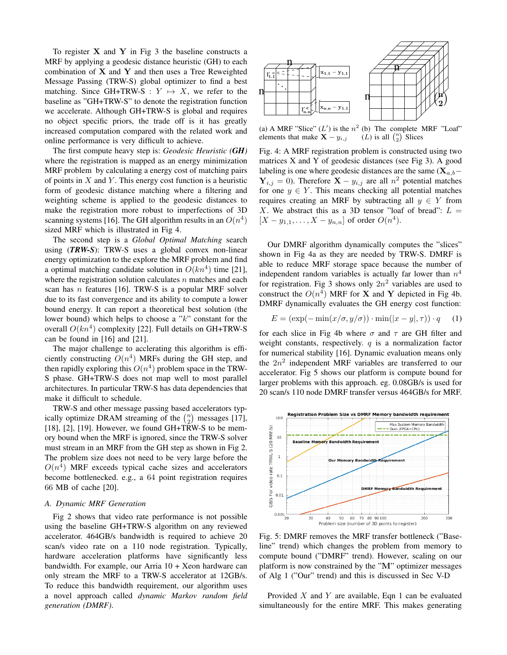To register  $X$  and  $Y$  in Fig 3 the baseline constructs a MRF by applying a geodesic distance heuristic (GH) to each combination of  $X$  and  $Y$  and then uses a Tree Reweighted Message Passing (TRW-S) global optimizer to find a best matching. Since GH+TRW-S :  $Y \mapsto X$ , we refer to the baseline as "GH+TRW-S" to denote the registration function we accelerate. Although GH+TRW-S is global and requires no object specific priors, the trade off is it has greatly increased computation compared with the related work and online performance is very difficult to achieve.

The first compute heavy step is: *Geodesic Heuristic (GH)* where the registration is mapped as an energy minimization MRF problem by calculating a energy cost of matching pairs of points in  $X$  and  $Y$ . This energy cost function is a heuristic form of geodesic distance matching where a filtering and weighting scheme is applied to the geodesic distances to make the registration more robust to imperfections of 3D scanning systems [16]. The GH algorithm results in an  $O(n^4)$ sized MRF which is illustrated in Fig 4.

The second step is a *Global Optimal Matching* search using (*TRW-S*): TRW-S uses a global convex non-linear energy optimization to the explore the MRF problem and find a optimal matching candidate solution in  $O(kn^4)$  time [21], where the registration solution calculates  $n$  matches and each scan has *n* features [16]. TRW-S is a popular MRF solver due to its fast convergence and its ability to compute a lower bound energy. It can report a theoretical best solution (the lower bound) which helps to choose a "k" constant for the overall  $O(kn^4)$  complexity [22]. Full details on GH+TRW-S can be found in [16] and [21].

The major challenge to acclerating this algorithm is efficiently constructing  $O(n^4)$  MRFs during the GH step, and then rapidly exploring this  $O(n^4)$  problem space in the TRW-S phase. GH+TRW-S does not map well to most parallel architectures. In particular TRW-S has data dependencies that make it difficult to schedule.

TRW-S and other message passing based accelerators typically optimize DRAM streaming of the  $\binom{n}{2}$  messages [17], [18], [2], [19]. However, we found  $GH+TRW-S$  to be memory bound when the MRF is ignored, since the TRW-S solver must stream in an MRF from the GH step as shown in Fig 2. The problem size does not need to be very large before the  $O(n<sup>4</sup>)$  MRF exceeds typical cache sizes and accelerators become bottlenecked. e.g., a 64 point registration requires 66 MB of cache [20].

## *A. Dynamic MRF Generation*

Fig 2 shows that video rate performance is not possible using the baseline GH+TRW-S algorithm on any reviewed accelerator. 464GB/s bandwidth is required to achieve 20 scan/s video rate on a 110 node registration. Typically, hardware acceleration platforms have significantly less bandwidth. For example, our Arria  $10 + X$ eon hardware can only stream the MRF to a TRW-S accelerator at 12GB/s. To reduce this bandwidth requirement, our algorithm uses a novel approach called *dynamic Markov random field generation (DMRF)*.



(a) A MRF "Slice"  $(L')$  is the  $n^2$  (b) The complete MRF "Loaf" elements that make  $X - y_{i,j}$  $(L)$  is all  $\binom{n}{2}$  Slices

Fig. 4: A MRF registration problem is constructed using two matrices X and Y of geodesic distances (see Fig 3). A good labeling is one where geodesic distances are the same ( $\mathbf{X}_{a,b}$ –  $Y_{i,j} = 0$ ). Therefore  $X - y_{i,j}$  are all  $n^2$  potential matches for one  $y \in Y$ . This means checking all potential matches requires creating an MRF by subtracting all  $y \in Y$  from X. We abstract this as a 3D tensor "loaf of bread":  $L =$  $[X - y_{1,1}, \ldots, X - y_{n,n}]$  of order  $O(n^4)$ .

Our DMRF algorithm dynamically computes the "slices" shown in Fig 4a as they are needed by TRW-S. DMRF is able to reduce MRF storage space because the number of independent random variables is actually far lower than  $n^4$ for registration. Fig 3 shows only  $2n^2$  variables are used to construct the  $O(n^4)$  MRF for **X** and **Y** depicted in Fig 4b. DMRF dynamically evaluates the GH energy cost function:

$$
E = (\exp(-\min(x/\sigma, y/\sigma)) \cdot \min(|x - y|, \tau)) \cdot q \tag{1}
$$

for each slice in Fig 4b where  $\sigma$  and  $\tau$  are GH filter and weight constants, respectively.  $q$  is a normalization factor for numerical stability [16]. Dynamic evaluation means only the  $2n^2$  independent MRF variables are transferred to our accelerator. Fig 5 shows our platform is compute bound for larger problems with this approach. eg. 0.08GB/s is used for 20 scan/s 110 node DMRF transfer versus 464GB/s for MRF.



Fig. 5: DMRF removes the MRF transfer bottleneck ("Baseline" trend) which changes the problem from memory to compute bound ("DMRF" trend). However, scaling on our platform is now constrained by the "M" optimizer messages of Alg 1 ("Our" trend) and this is discussed in Sec V-D

Provided  $X$  and  $Y$  are available, Eqn 1 can be evaluated simultaneously for the entire MRF. This makes generating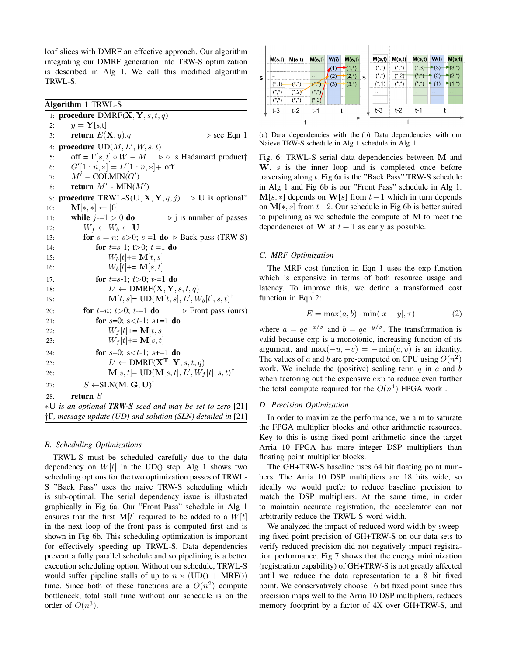loaf slices with DMRF an effective approach. Our algorithm integrating our DMRF generation into TRW-S optimization is described in Alg 1. We call this modified algorithm TRWL-S.

Algorithm 1 TRWL-S

1: **procedure**  $DMRF(X, Y, s, t, q)$ 2:  $y = \mathbf{Y}[s,t]$ 3: return  $E(\mathbf{X}, y) \cdot q \rightarrow \text{see Eqn 1}$ 4: procedure  $\text{UD}(M, L', W, s, t)$ 5: off =  $\Gamma[s, t] \circ W - M$   $\Rightarrow$   $\circ$  is Hadamard product 6:  $G'[1:n,*] = L'[1:n,*] + off$ 7:  $M' = \text{COLMIN}(G')$ 8: return  $M'$  -  $MIN(M')$ 9: **procedure** TRWL-S(U, **X**, **Y**, *q*, *j*)  $\triangleright$  U is optional<sup>\*</sup> 10:  $\mathbf{M}[*, *] \leftarrow [0]$ 11: while  $j=1 > 0$  do  $\Rightarrow j$  is number of passes 12:  $W_f \leftarrow W_b \leftarrow \mathbf{U}$ 13: **for**  $s = n$ ;  $s > 0$ ;  $s = 1$  **do**  $\triangleright$  Back pass (TRW-S) 14: **for**  $t=s-1$ ;  $t>0$ ;  $t=-1$  **do** 15:  $W_b[t] += M[t, s]$ 16:  $W_b[t] += M[s, t]$ 17: **for**  $t=s-1$ ;  $t>0$ ;  $t=-1$  **do** 18:  $L$  $L' \leftarrow \text{DMRF}(\mathbf{X}, \mathbf{Y}, s, t, q)$ 19:  $\mathbf{M}[t, s] = \text{UD}(\mathbf{M}[t, s], L', W_b[t], s, t)^{\dagger}$ 20: **for**  $t=n$ ;  $t>0$ ;  $t=1$  **do**  $\triangleright$  Front pass (ours) 21: **for**  $s=0$ ;  $s < t-1$ ;  $s+=1$  **do** 22:  $W_f[t] += M[t, s]$ 23:  $W_f[t] \rightleftharpoons M[s, t]$ 24: **for**  $s=0$ ;  $s < t-1$ ;  $s+=1$  **do** 25:  $L$  $L' \leftarrow \text{DMRF}(\mathbf{X^T}, \mathbf{Y}, s, t, q)$ 26: **M**[s, t]= **UD**(**M**[s, t],  $L', W_f[t], s, t$ )<sup>†</sup> 27:  $S \leftarrow \text{SLN}(\mathbf{M}, \mathbf{G}, \mathbf{U})^{\dagger}$ 28: return S ∗U *is an optional TRW-S seed and may be set to zero* [21] †Γ*, message update (UD) and solution (SLN) detailed in* [21]

## *B. Scheduling Optimizations*

TRWL-S must be scheduled carefully due to the data dependency on  $W[t]$  in the UD() step. Alg 1 shows two scheduling options for the two optimization passes of TRWL-S "Back Pass" uses the naive TRW-S scheduling which is sub-optimal. The serial dependency issue is illustrated graphically in Fig 6a. Our "Front Pass" schedule in Alg 1 ensures that the first  $M[t]$  required to be added to a  $W[t]$ in the next loop of the front pass is computed first and is shown in Fig 6b. This scheduling optimization is important for effectively speeding up TRWL-S. Data dependencies prevent a fully parallel schedule and so pipelining is a better execution scheduling option. Without our schedule, TRWL-S would suffer pipeline stalls of up to  $n \times (UD() + MRF())$ time. Since both of these functions are a  $O(n^2)$  compute bottleneck, total stall time without our schedule is on the order of  $O(n^3)$ .



(a) Data dependencies with the (b) Data dependencies with our Naieve TRW-S schedule in Alg 1 schedule in Alg 1

Fig. 6: TRWL-S serial data dependencies between M and W. s is the inner loop and is completed once before traversing along  $t$ . Fig 6a is the "Back Pass" TRW-S schedule in Alg 1 and Fig 6b is our "Front Pass" schedule in Alg 1.  $M[s, *]$  depends on W[s] from  $t-1$  which in turn depends on M[ $\ast$ , s] from t − 2. Our schedule in Fig 6b is better suited to pipelining as we schedule the compute of M to meet the dependencies of W at  $t + 1$  as early as possible.

# *C. MRF Optimization*

The MRF cost function in Eqn 1 uses the exp function which is expensive in terms of both resource usage and latency. To improve this, we define a transformed cost function in Eqn 2:

$$
E = \max(a, b) \cdot \min(|x - y|, \tau)
$$
 (2)

where  $a = qe^{-x/\sigma}$  and  $b = qe^{-y/\sigma}$ . The transformation is valid because exp is a monotonic, increasing function of its argument, and max $(-u, -v) = -\min(u, v)$  is an identity. The values of a and b are pre-computed on CPU using  $O(n^2)$ work. We include the (positive) scaling term  $q$  in  $a$  and  $b$ when factoring out the expensive exp to reduce even further the total compute required for the  $O(n^4)$  FPGA work.

## *D. Precision Optimization*

In order to maximize the performance, we aim to saturate the FPGA multiplier blocks and other arithmetic resources. Key to this is using fixed point arithmetic since the target Arria 10 FPGA has more integer DSP multipliers than floating point multiplier blocks.

The GH+TRW-S baseline uses 64 bit floating point numbers. The Arria 10 DSP multipliers are 18 bits wide, so ideally we would prefer to reduce baseline precision to match the DSP multipliers. At the same time, in order to maintain accurate registration, the accelerator can not arbitrarily reduce the TRWL-S word width.

We analyzed the impact of reduced word width by sweeping fixed point precision of GH+TRW-S on our data sets to verify reduced precision did not negatively impact registration performance. Fig 7 shows that the energy minimization (registration capability) of GH+TRW-S is not greatly affected until we reduce the data representation to a 8 bit fixed point. We conservatively choose 16 bit fixed point since this precision maps well to the Arria 10 DSP multipliers, reduces memory footprint by a factor of 4X over GH+TRW-S, and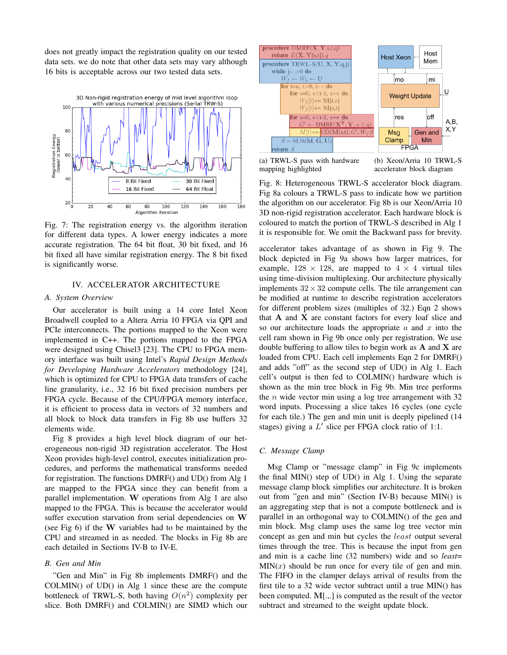does not greatly impact the registration quality on our tested data sets. we do note that other data sets may vary although 16 bits is acceptable across our two tested data sets.



Fig. 7: The registration energy vs. the algorithm iteration for different data types. A lower energy indicates a more accurate registration. The 64 bit float, 30 bit fixed, and 16 bit fixed all have similar registration energy. The 8 bit fixed is significantly worse.

# IV. ACCELERATOR ARCHITECTURE

# *A. System Overview*

Our accelerator is built using a 14 core Intel Xeon Broadwell coupled to a Altera Arria 10 FPGA via QPI and PCIe interconnects. The portions mapped to the Xeon were implemented in C++. The portions mapped to the FPGA were designed using Chisel3 [23]. The CPU to FPGA memory interface was built using Intel's *Rapid Design Methods for Developing Hardware Accelerators* methodology [24], which is optimized for CPU to FPGA data transfers of cache line granularity, i.e., 32 16 bit fixed precision numbers per FPGA cycle. Because of the CPU/FPGA memory interface, it is efficient to process data in vectors of 32 numbers and all block to block data transfers in Fig 8b use buffers 32 elements wide.

Fig 8 provides a high level block diagram of our heterogeneous non-rigid 3D registration accelerator. The Host Xeon provides high-level control, executes initialization procedures, and performs the mathematical transforms needed for registration. The functions DMRF() and UD() from Alg 1 are mapped to the FPGA since they can benefit from a parallel implementation. W operations from Alg 1 are also mapped to the FPGA. This is because the accelerator would suffer execution starvation from serial dependencies on W (see Fig 6) if the W variables had to be maintained by the CPU and streamed in as needed. The blocks in Fig 8b are each detailed in Sections IV-B to IV-E.

# *B. Gen and Min*

"Gen and Min" in Fig 8b implements DMRF() and the COLMIN() of UD() in Alg 1 since these are the compute bottleneck of TRWL-S, both having  $O(n^2)$  complexity per slice. Both DMRF() and COLMIN() are SIMD which our



(a) TRWL-S pass with hardware mapping highlighted (b) Xeon/Arria 10 TRWL-S accelerator block diagram

Fig. 8: Heterogeneous TRWL-S accelerator block diagram. Fig 8a colours a TRWL-S pass to indicate how we partition the algorithm on our accelerator. Fig 8b is our Xeon/Arria 10 3D non-rigid registration accelerator. Each hardware block is coloured to match the portion of TRWL-S described in Alg 1 it is responsible for. We omit the Backward pass for brevity.

accelerator takes advantage of as shown in Fig 9. The block depicted in Fig 9a shows how larger matrices, for example,  $128 \times 128$ , are mapped to  $4 \times 4$  virtual tiles using time-division multiplexing. Our architecture physically implements  $32 \times 32$  compute cells. The tile arrangement can be modified at runtime to describe registration accelerators for different problem sizes (multiples of 32.) Eqn 2 shows that  $A$  and  $X$  are constant factors for every loaf slice and so our architecture loads the appropriate  $a$  and  $x$  into the cell ram shown in Fig 9b once only per registration. We use double buffering to allow tiles to begin work as  $A$  and  $X$  are loaded from CPU. Each cell implements Eqn 2 for DMRF() and adds "off" as the second step of UD() in Alg 1. Each cell's output is then fed to COLMIN() hardware which is shown as the min tree block in Fig 9b. Min tree performs the *n* wide vector min using a log tree arrangement with  $32$ word inputs. Processing a slice takes 16 cycles (one cycle for each tile.) The gen and min unit is deeply pipelined (14 stages) giving a  $L'$  slice per FPGA clock ratio of 1:1.

# *C. Message Clamp*

Msg Clamp or "message clamp" in Fig 9c implements the final MIN() step of UD() in Alg 1. Using the separate message clamp block simplifies our architecture. It is broken out from "gen and min" (Section IV-B) because MIN() is an aggregating step that is not a compute bottleneck and is parallel in an orthogonal way to COLMIN() of the gen and min block. Msg clamp uses the same log tree vector min concept as gen and min but cycles the least output several times through the tree. This is because the input from gen and min is a cache line (32 numbers) wide and so *least*=  $MIN(x)$  should be run once for every tile of gen and min. The FIFO in the clamper delays arrival of results from the first tile to a 32 wide vector subtract until a true MIN() has been computed. M[.,.] is computed as the result of the vector subtract and streamed to the weight update block.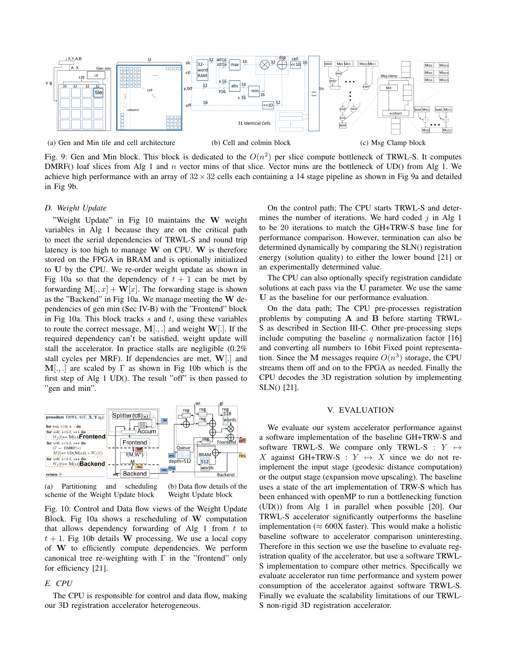

(a) Gen and Min tile and cell architecture (b) Cell and colmin block (c) Msg Clamp block

Fig. 9: Gen and Min block. This block is dedicated to the  $O(n^2)$  per slice compute bottleneck of TRWL-S. It computes DMRF() loaf slices from Alg 1 and  $n$  vector mins of that slice. Vector mins are the bottleneck of UD() from Alg 1. We achieve high performance with an array of  $32 \times 32$  cells each containing a 14 stage pipeline as shown in Fig 9a and detailed in Fig 9b.

#### *D. Weight Update*

"Weight Update" in Fig 10 maintains the W weight variables in Alg 1 because they are on the critical path to meet the serial dependencies of TRWL-S and round trip latency is too high to manage W on CPU. W is therefore stored on the FPGA in BRAM and is optionally initialized to U by the CPU. We re-order weight update as shown in Fig 10a so that the dependency of  $t + 1$  can be met by forwarding  $M[.,x] + W[x]$ . The forwarding stage is shown as the "Backend" in Fig 10a. We manage meeting the W dependencies of gen min (Sec IV-B) with the "Frontend" block in Fig 10a. This block tracks  $s$  and  $t$ , using these variables to route the correct message,  $M[.,.]$  and weight  $W[.]$ . If the required dependency can't be satisfied, weight update will stall the accelerator. In practice stalls are negligible (0.2% stall cycles per MRF). If dependencies are met,  $W[.]$  and  $M[,$  are scaled by  $\Gamma$  as shown in Fig 10b which is the first step of Alg 1 UD(). The result "off" is then passed to "gen and min".



(a) Partitioning and scheduling scheme of the Weight Update block (b) Data flow details of the Weight Update block

Fig. 10: Control and Data flow views of the Weight Update Block. Fig 10a shows a rescheduling of W computation that allows dependency forwarding of Alg 1 from  $t$  to  $t + 1$ . Fig 10b details W processing. We use a local copy of W to efficiently compute dependencies. We perform canonical tree re-weighting with  $\Gamma$  in the "frontend" only for efficiency [21].

# *E. CPU*

The CPU is responsible for control and data flow, making our 3D registration accelerator heterogeneous.

On the control path; The CPU starts TRWL-S and determines the number of iterations. We hard coded  $j$  in Alg 1 to be 20 iterations to match the GH+TRW-S base line for performance comparison. However, termination can also be determined dynamically by comparing the SLN() registration energy (solution quality) to either the lower bound [21] or an experimentally determined value.

The CPU can also optionally specify registration candidate solutions at each pass via the U parameter. We use the same U as the baseline for our performance evaluation.

On the data path; The CPU pre-processes registration problems by computing A and B before starting TRWL-S as described in Section III-C. Other pre-processing steps include computing the baseline q normalization factor  $[16]$ and converting all numbers to 16bit Fixed point representation. Since the M messages require  $O(n^3)$  storage, the CPU streams them off and on to the FPGA as needed. Finally the CPU decodes the 3D registration solution by implementing SLN() [21].

## V. EVALUATION

We evaluate our system accelerator performance against a software implementation of the baseline GH+TRW-S and software TRWL-S. We compare only TRWL-S :  $Y \mapsto$ X against GH+TRW-S :  $Y \mapsto X$  since we do not reimplement the input stage (geodesic distance computation) or the output stage (expansion move upscaling). The baseline uses a state of the art implementation of TRW-S which has been enhanced with openMP to run a bottlenecking function (UD()) from Alg 1 in parallel when possible [20]. Our TRWL-S accelerator significantly outperforms the baseline implementation ( $\approx 600X$  faster). This would make a holistic baseline software to accelerator comparison uninteresting. Therefore in this section we use the baseline to evaluate registration quality of the accelerator, but use a software TRWL-S implementation to compare other metrics. Specifically we evaluate accelerator run time performance and system power consumption of the accelerator against software TRWL-S. Finally we evaluate the scalability limitations of our TRWL-S non-rigid 3D registration accelerator.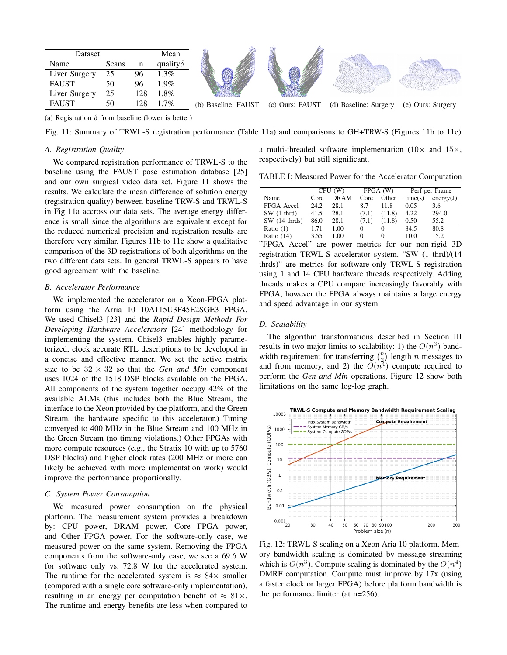| Dataset       | Mean  |     |                  |                     |
|---------------|-------|-----|------------------|---------------------|
| Name          | Scans | n   | quality $\delta$ |                     |
| Liver Surgery | 25    |     | $1.3\%$          |                     |
| <b>FAUST</b>  | 50    | 96  | 1.9%             |                     |
| Liver Surgery | 25    | 128 | $1.8\%$          |                     |
| <b>FAUST</b>  | 50    | 178 | $1.7\%$          | (b) Baseline: FAUST |

(b) Baseline: FAUST (c) Ours: FAUST (d) Baseline: Surgery (e) Ours: Surgery

(a) Registration  $\delta$  from baseline (lower is better)

Fig. 11: Summary of TRWL-S registration performance (Table 11a) and comparisons to GH+TRW-S (Figures 11b to 11e)

# *A. Registration Quality*

We compared registration performance of TRWL-S to the baseline using the FAUST pose estimation database [25] and our own surgical video data set. Figure 11 shows the results. We calculate the mean difference of solution energy (registration quality) between baseline TRW-S and TRWL-S in Fig 11a accross our data sets. The average energy difference is small since the algorithms are equivalent except for the reduced numerical precision and registration results are therefore very similar. Figures 11b to 11e show a qualitative comparison of the 3D registrations of both algorithms on the two different data sets. In general TRWL-S appears to have good agreement with the baseline.

# *B. Accelerator Performance*

We implemented the accelerator on a Xeon-FPGA platform using the Arria 10 10A115U3F45E2SGE3 FPGA. We used Chisel3 [23] and the *Rapid Design Methods For Developing Hardware Accelerators* [24] methodology for implementing the system. Chisel3 enables highly parameterized, clock accurate RTL descriptions to be developed in a concise and effective manner. We set the active matrix size to be  $32 \times 32$  so that the *Gen and Min* component uses 1024 of the 1518 DSP blocks available on the FPGA. All components of the system together occupy 42% of the available ALMs (this includes both the Blue Stream, the interface to the Xeon provided by the platform, and the Green Stream, the hardware specific to this accelerator.) Timing converged to 400 MHz in the Blue Stream and 100 MHz in the Green Stream (no timing violations.) Other FPGAs with more compute resources (e.g., the Stratix 10 with up to 5760 DSP blocks) and higher clock rates (200 MHz or more can likely be achieved with more implementation work) would improve the performance proportionally.

#### *C. System Power Consumption*

We measured power consumption on the physical platform. The measurement system provides a breakdown by: CPU power, DRAM power, Core FPGA power, and Other FPGA power. For the software-only case, we measured power on the same system. Removing the FPGA components from the software-only case, we see a 69.6 W for software only vs. 72.8 W for the accelerated system. The runtime for the accelerated system is  $\approx 84 \times$  smaller (compared with a single core software-only implementation), resulting in an energy per computation benefit of  $\approx 81 \times$ . The runtime and energy benefits are less when compared to a multi-threaded software implementation ( $10\times$  and  $15\times$ , respectively) but still significant.

TABLE I: Measured Power for the Accelerator Computation

|                        | CPU(W) |             | FPGA (W) |          | Perf per Frame |           |
|------------------------|--------|-------------|----------|----------|----------------|-----------|
| Name                   | Core   | <b>DRAM</b> | Core     | Other    | time(s)        | energy(J) |
| FPGA Accel             | 24.2   | 28.1        | 8.7      | 11.8     | 0.05           | 3.6       |
| $SW(1$ thrd)           | 41.5   | 28.1        | (7.1)    | (11.8)   | 4.22           | 294.0     |
| $SW(14 \text{ thrds})$ | 86.0   | 28.1        | (7.1)    | (11.8)   | 0.50           | 55.2      |
| Ratio $(1)$            | 1.71   | 1.00        | 0        | 0        | 84.5           | 80.8      |
| Ratio $(14)$           | 3.55   | 1.00        | 0        | $\theta$ | 10.0           | 15.2      |

"FPGA Accel" are power metrics for our non-rigid 3D registration TRWL-S accelerator system. "SW (1 thrd)/(14 thrds)" are metrics for software-only TRWL-S registration using 1 and 14 CPU hardware threads respectively. Adding threads makes a CPU compare increasingly favorably with FPGA, however the FPGA always maintains a large energy and speed advantage in our system

## *D. Scalability*

The algorithm transformations described in Section III results in two major limits to scalability: 1) the  $O(n^3)$  bandwidth requirement for transferring  $\binom{n}{2}$  length n messages to and from memory, and 2) the  $O(n^4)$  compute required to perform the *Gen and Min* operations. Figure 12 show both limitations on the same log-log graph.



Fig. 12: TRWL-S scaling on a Xeon Aria 10 platform. Memory bandwidth scaling is dominated by message streaming which is  $O(n^3)$ . Compute scaling is dominated by the  $O(n^4)$ DMRF computation. Compute must improve by 17x (using a faster clock or larger FPGA) before platform bandwidth is the performance limiter (at n=256).